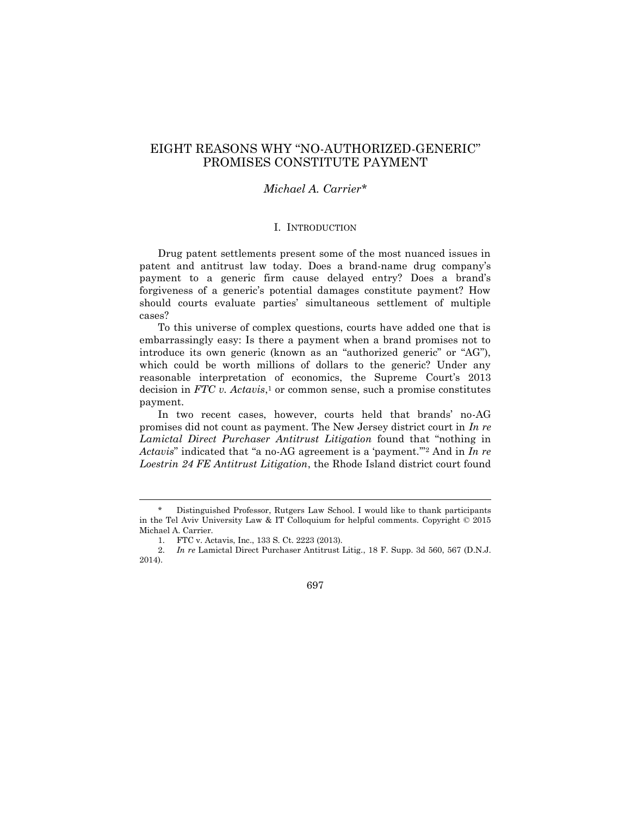# EIGHT REASONS WHY "NO-AUTHORIZED-GENERIC" PROMISES CONSTITUTE PAYMENT

## *Michael A. Carrier\**

### I. INTRODUCTION

Drug patent settlements present some of the most nuanced issues in patent and antitrust law today. Does a brand-name drug company's payment to a generic firm cause delayed entry? Does a brand's forgiveness of a generic's potential damages constitute payment? How should courts evaluate parties' simultaneous settlement of multiple cases?

To this universe of complex questions, courts have added one that is embarrassingly easy: Is there a payment when a brand promises not to introduce its own generic (known as an "authorized generic" or "AG"), which could be worth millions of dollars to the generic? Under any reasonable interpretation of economics, the Supreme Court's 2013 decision in *FTC v. Actavis*, <sup>1</sup> or common sense, such a promise constitutes payment.

In two recent cases, however, courts held that brands' no-AG promises did not count as payment. The New Jersey district court in *In re Lamictal Direct Purchaser Antitrust Litigation* found that "nothing in *Actavis*" indicated that "a no-AG agreement is a 'payment.'"<sup>2</sup> And in *In re Loestrin 24 FE Antitrust Litigation*, the Rhode Island district court found

Distinguished Professor, Rutgers Law School. I would like to thank participants in the Tel Aviv University Law & IT Colloquium for helpful comments. Copyright © 2015 Michael A. Carrier.

<sup>1.</sup> FTC v. Actavis, Inc., 133 S. Ct. 2223 (2013).

<sup>2.</sup> *In re* Lamictal Direct Purchaser Antitrust Litig., 18 F. Supp. 3d 560, 567 (D.N.J. 2014).

<sup>697</sup>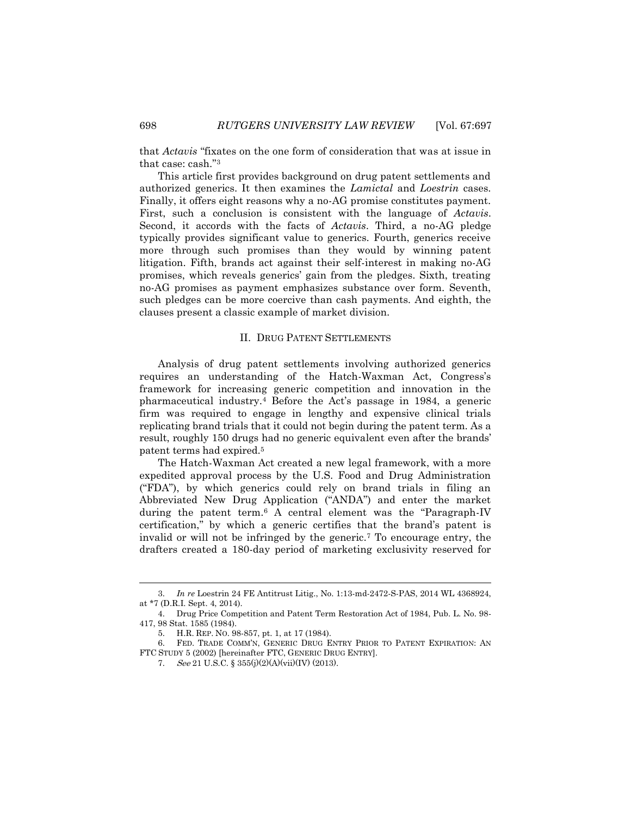that *Actavis* "fixates on the one form of consideration that was at issue in that case: cash."<sup>3</sup>

This article first provides background on drug patent settlements and authorized generics. It then examines the *Lamictal* and *Loestrin* cases. Finally, it offers eight reasons why a no-AG promise constitutes payment. First, such a conclusion is consistent with the language of *Actavis*. Second, it accords with the facts of *Actavis*. Third, a no-AG pledge typically provides significant value to generics. Fourth, generics receive more through such promises than they would by winning patent litigation. Fifth, brands act against their self-interest in making no-AG promises, which reveals generics' gain from the pledges. Sixth, treating no-AG promises as payment emphasizes substance over form. Seventh, such pledges can be more coercive than cash payments. And eighth, the clauses present a classic example of market division.

### II. DRUG PATENT SETTLEMENTS

Analysis of drug patent settlements involving authorized generics requires an understanding of the Hatch-Waxman Act, Congress's framework for increasing generic competition and innovation in the pharmaceutical industry.<sup>4</sup> Before the Act's passage in 1984, a generic firm was required to engage in lengthy and expensive clinical trials replicating brand trials that it could not begin during the patent term. As a result, roughly 150 drugs had no generic equivalent even after the brands' patent terms had expired.<sup>5</sup>

The Hatch-Waxman Act created a new legal framework, with a more expedited approval process by the U.S. Food and Drug Administration ("FDA"), by which generics could rely on brand trials in filing an Abbreviated New Drug Application ("ANDA") and enter the market during the patent term.<sup>6</sup> A central element was the "Paragraph-IV certification," by which a generic certifies that the brand's patent is invalid or will not be infringed by the generic.<sup>7</sup> To encourage entry, the drafters created a 180-day period of marketing exclusivity reserved for

<sup>3.</sup> *In re* Loestrin 24 FE Antitrust Litig., No. 1:13-md-2472-S-PAS, 2014 WL 4368924, at \*7 (D.R.I. Sept. 4, 2014).

<sup>4.</sup> Drug Price Competition and Patent Term Restoration Act of 1984, Pub. L. No. 98- 417, 98 Stat. 1585 (1984).

<sup>5.</sup> H.R. REP. NO. 98-857, pt. 1, at 17 (1984).

<sup>6.</sup> FED. TRADE COMM'N, GENERIC DRUG ENTRY PRIOR TO PATENT EXPIRATION: AN FTC STUDY 5 (2002) [hereinafter FTC, GENERIC DRUG ENTRY].

<sup>7.</sup> See 21 U.S.C. § 355(j)(2)(A)(vii)(IV) (2013).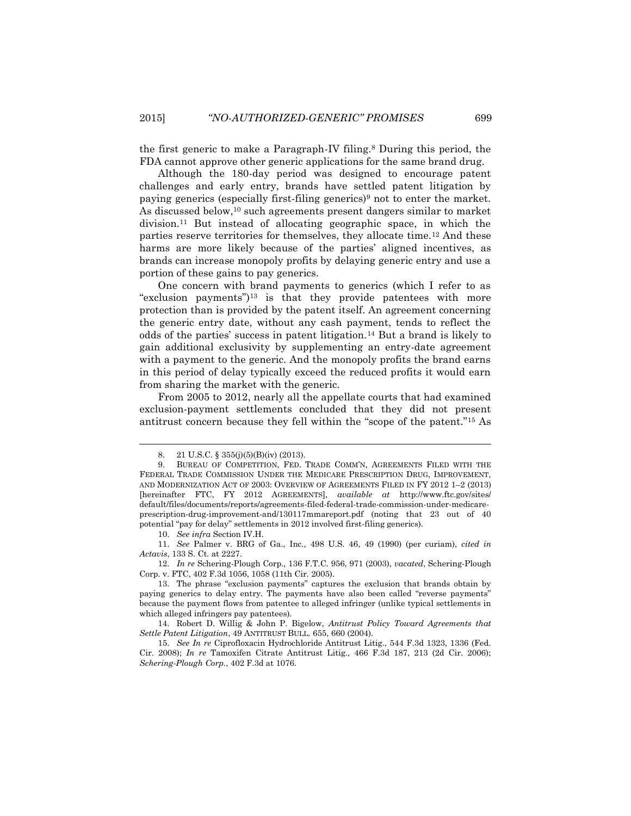the first generic to make a Paragraph-IV filing.<sup>8</sup> During this period, the FDA cannot approve other generic applications for the same brand drug.

<span id="page-2-0"></span>Although the 180-day period was designed to encourage patent challenges and early entry, brands have settled patent litigation by paying generics (especially first-filing generics)<sup>9</sup> not to enter the market. As discussed below,<sup>10</sup> such agreements present dangers similar to market division.<sup>11</sup> But instead of allocating geographic space, in which the parties reserve territories for themselves, they allocate time.<sup>12</sup> And these harms are more likely because of the parties' aligned incentives, as brands can increase monopoly profits by delaying generic entry and use a portion of these gains to pay generics.

One concern with brand payments to generics (which I refer to as "exclusion payments")<sup>13</sup> is that they provide patentees with more protection than is provided by the patent itself. An agreement concerning the generic entry date, without any cash payment, tends to reflect the odds of the parties' success in patent litigation.<sup>14</sup> But a brand is likely to gain additional exclusivity by supplementing an entry-date agreement with a payment to the generic. And the monopoly profits the brand earns in this period of delay typically exceed the reduced profits it would earn from sharing the market with the generic.

From 2005 to 2012, nearly all the appellate courts that had examined exclusion-payment settlements concluded that they did not present antitrust concern because they fell within the "scope of the patent."<sup>15</sup> As

10. *See infra* Section IV.H.

l

12. *In re* Schering-Plough Corp., 136 F.T.C. 956, 971 (2003), *vacated*, Schering-Plough Corp. v. FTC, 402 F.3d 1056, 1058 (11th Cir. 2005).

<sup>8.</sup> 21 U.S.C. § 355(j)(5)(B)(iv) (2013).

<sup>9.</sup> BUREAU OF COMPETITION, FED. TRADE COMM'N, AGREEMENTS FILED WITH THE FEDERAL TRADE COMMISSION UNDER THE MEDICARE PRESCRIPTION DRUG, IMPROVEMENT, AND MODERNIZATION ACT OF 2003: OVERVIEW OF AGREEMENTS FILED IN FY 2012 1–2 (2013) [hereinafter FTC, FY 2012 AGREEMENTS], *available at* http://www.ftc.gov/sites/ default/files/documents/reports/agreements-filed-federal-trade-commission-under-medicareprescription-drug-improvement-and/130117mmareport.pdf (noting that 23 out of 40 potential "pay for delay" settlements in 2012 involved first-filing generics).

<sup>11.</sup> *See* Palmer v. BRG of Ga., Inc., 498 U.S. 46, 49 (1990) (per curiam), *cited in Actavis*, 133 S. Ct. at 2227.

<sup>13.</sup> The phrase "exclusion payments" captures the exclusion that brands obtain by paying generics to delay entry. The payments have also been called "reverse payments" because the payment flows from patentee to alleged infringer (unlike typical settlements in which alleged infringers pay patentees).

<sup>14.</sup> Robert D. Willig & John P. Bigelow, *Antitrust Policy Toward Agreements that Settle Patent Litigation*, 49 ANTITRUST BULL. 655, 660 (2004).

<sup>15.</sup> *See In re* Ciprofloxacin Hydrochloride Antitrust Litig., 544 F.3d 1323, 1336 (Fed. Cir. 2008); *In re* Tamoxifen Citrate Antitrust Litig., 466 F.3d 187, 213 (2d Cir. 2006); *Schering-Plough Corp.*, 402 F.3d at 1076.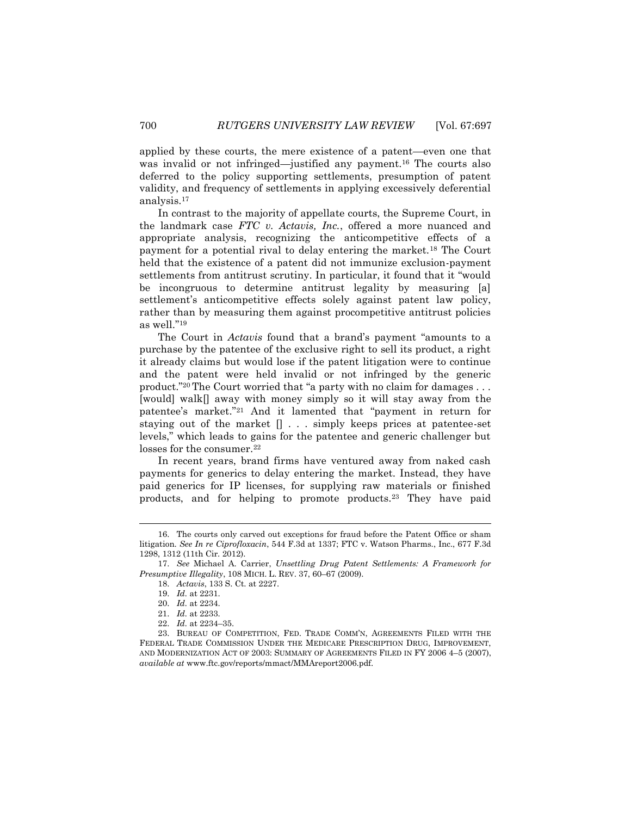applied by these courts, the mere existence of a patent—even one that was invalid or not infringed—justified any payment.<sup>16</sup> The courts also deferred to the policy supporting settlements, presumption of patent validity, and frequency of settlements in applying excessively deferential analysis.<sup>17</sup>

<span id="page-3-0"></span>In contrast to the majority of appellate courts, the Supreme Court, in the landmark case *FTC v. Actavis, Inc.*, offered a more nuanced and appropriate analysis, recognizing the anticompetitive effects of a payment for a potential rival to delay entering the market.<sup>18</sup> The Court held that the existence of a patent did not immunize exclusion-payment settlements from antitrust scrutiny. In particular, it found that it "would be incongruous to determine antitrust legality by measuring [a] settlement's anticompetitive effects solely against patent law policy, rather than by measuring them against procompetitive antitrust policies as well."<sup>19</sup>

The Court in *Actavis* found that a brand's payment "amounts to a purchase by the patentee of the exclusive right to sell its product, a right it already claims but would lose if the patent litigation were to continue and the patent were held invalid or not infringed by the generic product."<sup>20</sup> The Court worried that "a party with no claim for damages . . . [would] walk[] away with money simply so it will stay away from the patentee's market."<sup>21</sup> And it lamented that "payment in return for staying out of the market [] . . . simply keeps prices at patentee-set levels," which leads to gains for the patentee and generic challenger but losses for the consumer.<sup>22</sup>

In recent years, brand firms have ventured away from naked cash payments for generics to delay entering the market. Instead, they have paid generics for IP licenses, for supplying raw materials or finished products, and for helping to promote products.<sup>23</sup> They have paid

<sup>16.</sup> The courts only carved out exceptions for fraud before the Patent Office or sham litigation. *See In re Ciprofloxacin*, 544 F.3d at 1337; FTC v. Watson Pharms., Inc., 677 F.3d 1298, 1312 (11th Cir. 2012).

<sup>17.</sup> *See* Michael A. Carrier, *Unsettling Drug Patent Settlements: A Framework for Presumptive Illegality*, 108 MICH. L. REV. 37, 60–67 (2009).

<sup>18.</sup> *Actavis*, 133 S. Ct. at 2227.

<sup>19.</sup> *Id.* at 2231.

<sup>20.</sup> *Id.* at 2234.

<sup>21.</sup> *Id.* at 2233.

<sup>22.</sup> *Id.* at 2234–35.

<sup>23.</sup> BUREAU OF COMPETITION, FED. TRADE COMM'N, AGREEMENTS FILED WITH THE FEDERAL TRADE COMMISSION UNDER THE MEDICARE PRESCRIPTION DRUG, IMPROVEMENT, AND MODERNIZATION ACT OF 2003: SUMMARY OF AGREEMENTS FILED IN FY 2006 4–5 (2007), *available at* www.ftc.gov/reports/mmact/MMAreport2006.pdf.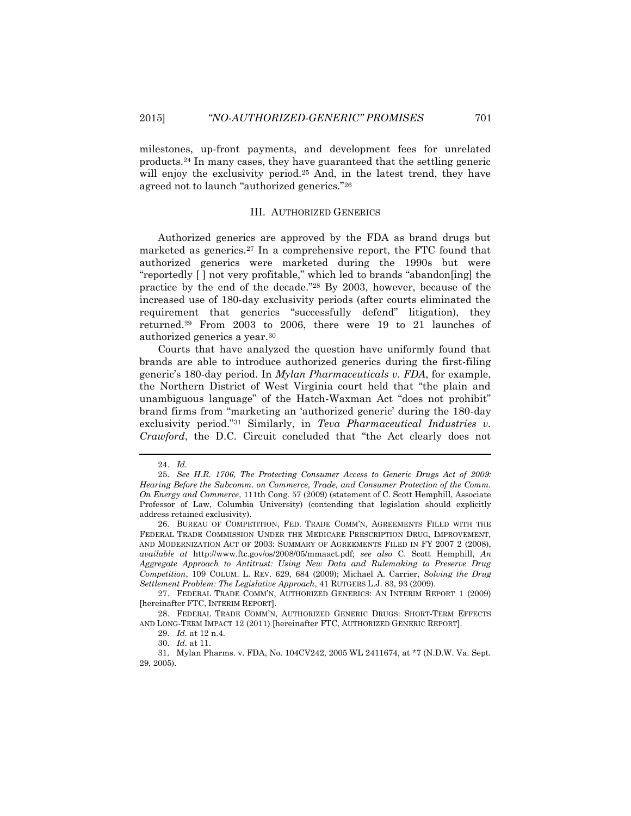milestones, up-front payments, and development fees for unrelated products.<sup>24</sup> In many cases, they have guaranteed that the settling generic will enjoy the exclusivity period.<sup>25</sup> And, in the latest trend, they have agreed not to launch "authorized generics."<sup>26</sup>

### <span id="page-4-2"></span><span id="page-4-1"></span><span id="page-4-0"></span>III. AUTHORIZED GENERICS

Authorized generics are approved by the FDA as brand drugs but marketed as generics.<sup>27</sup> In a comprehensive report, the FTC found that authorized generics were marketed during the 1990s but were "reportedly [ ] not very profitable," which led to brands "abandon[ing] the practice by the end of the decade."<sup>28</sup> By 2003, however, because of the increased use of 180-day exclusivity periods (after courts eliminated the requirement that generics "successfully defend" litigation), they returned.<sup>29</sup> From 2003 to 2006, there were 19 to 21 launches of authorized generics a year.<sup>30</sup>

Courts that have analyzed the question have uniformly found that brands are able to introduce authorized generics during the first-filing generic's 180-day period. In *Mylan Pharmaceuticals v. FDA*, for example, the Northern District of West Virginia court held that "the plain and unambiguous language" of the Hatch-Waxman Act "does not prohibit" brand firms from "marketing an 'authorized generic' during the 180-day exclusivity period."<sup>31</sup> Similarly, in *Teva Pharmaceutical Industries v. Crawford*, the D.C. Circuit concluded that "the Act clearly does not

<sup>24.</sup> *Id.*

<sup>25.</sup> *See H.R. 1706, The Protecting Consumer Access to Generic Drugs Act of 2009: Hearing Before the Subcomm. on Commerce, Trade, and Consumer Protection of the Comm. On Energy and Commerce*, 111th Cong. 57 (2009) (statement of C. Scott Hemphill, Associate Professor of Law, Columbia University) (contending that legislation should explicitly address retained exclusivity).

<sup>26.</sup> BUREAU OF COMPETITION, FED. TRADE COMM'N, AGREEMENTS FILED WITH THE FEDERAL TRADE COMMISSION UNDER THE MEDICARE PRESCRIPTION DRUG, IMPROVEMENT, AND MODERNIZATION ACT OF 2003: SUMMARY OF AGREEMENTS FILED IN FY 2007 2 (2008), *available at* http://www.ftc.gov/os/2008/05/mmaact.pdf; *see also* C. Scott Hemphill, *An Aggregate Approach to Antitrust: Using New Data and Rulemaking to Preserve Drug Competition*, 109 COLUM. L. REV. 629, 684 (2009); Michael A. Carrier, *Solving the Drug Settlement Problem: The Legislative Approach*, 41 RUTGERS L.J. 83, 93 (2009).

<sup>27.</sup> FEDERAL TRADE COMM'N, AUTHORIZED GENERICS: AN INTERIM REPORT 1 (2009) [hereinafter FTC, INTERIM REPORT].

<sup>28.</sup> FEDERAL TRADE COMM'N, AUTHORIZED GENERIC DRUGS: SHORT-TERM EFFECTS AND LONG-TERM IMPACT 12 (2011) [hereinafter FTC, AUTHORIZED GENERIC REPORT].

<sup>29.</sup> *Id.* at 12 n.4.

<sup>30.</sup> *Id.* at 11.

<sup>31.</sup> Mylan Pharms. v. FDA, No. 104CV242, 2005 WL 2411674, at \*7 (N.D.W. Va. Sept. 29, 2005).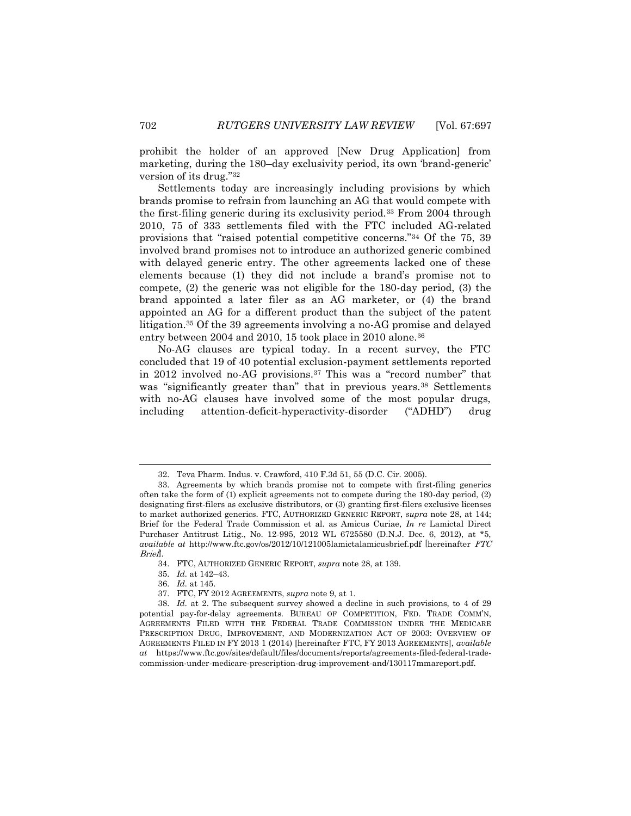prohibit the holder of an approved [New Drug Application] from marketing, during the 180–day exclusivity period, its own 'brand-generic' version of its drug."<sup>32</sup>

<span id="page-5-0"></span>Settlements today are increasingly including provisions by which brands promise to refrain from launching an AG that would compete with the first-filing generic during its exclusivity period.<sup>33</sup> From 2004 through 2010, 75 of 333 settlements filed with the FTC included AG-related provisions that "raised potential competitive concerns."<sup>34</sup> Of the 75, 39 involved brand promises not to introduce an authorized generic combined with delayed generic entry. The other agreements lacked one of these elements because (1) they did not include a brand's promise not to compete, (2) the generic was not eligible for the 180-day period, (3) the brand appointed a later filer as an AG marketer, or (4) the brand appointed an AG for a different product than the subject of the patent litigation.<sup>35</sup> Of the 39 agreements involving a no-AG promise and delayed entry between 2004 and 2010, 15 took place in 2010 alone.<sup>36</sup>

No-AG clauses are typical today. In a recent survey, the FTC concluded that 19 of 40 potential exclusion-payment settlements reported in 2012 involved no-AG provisions.<sup>37</sup> This was a "record number" that was "significantly greater than" that in previous years.<sup>38</sup> Settlements with no-AG clauses have involved some of the most popular drugs, including attention-deficit-hyperactivity-disorder ("ADHD") drug

<sup>32.</sup> Teva Pharm. Indus. v. Crawford, 410 F.3d 51, 55 (D.C. Cir. 2005).

<sup>33.</sup> Agreements by which brands promise not to compete with first-filing generics often take the form of (1) explicit agreements not to compete during the 180-day period, (2) designating first-filers as exclusive distributors, or (3) granting first-filers exclusive licenses to market authorized generics. FTC, AUTHORIZED GENERIC REPORT, *supra* note [28,](#page-4-0) at 144; Brief for the Federal Trade Commission et al. as Amicus Curiae, *In re* Lamictal Direct Purchaser Antitrust Litig., No. 12-995, 2012 WL 6725580 (D.N.J. Dec. 6, 2012), at \*5, *available at* http://www.ftc.gov/os/2012/10/121005lamictalamicusbrief.pdf [hereinafter FTC Brief].

<sup>34.</sup> FTC, AUTHORIZED GENERIC REPORT, *supra* not[e 28,](#page-4-0) at 139.

<sup>35.</sup> *Id.* at 142–43.

<sup>36.</sup> *Id.* at 145.

<sup>37.</sup> FTC, FY 2012 AGREEMENTS, *supra* not[e 9,](#page-2-0) at 1.

<sup>38.</sup> *Id.* at 2. The subsequent survey showed a decline in such provisions, to 4 of 29 potential pay-for-delay agreements. BUREAU OF COMPETITION, FED. TRADE COMM'N, AGREEMENTS FILED WITH THE FEDERAL TRADE COMMISSION UNDER THE MEDICARE PRESCRIPTION DRUG, IMPROVEMENT, AND MODERNIZATION ACT OF 2003: OVERVIEW OF AGREEMENTS FILED IN FY 2013 1 (2014) [hereinafter FTC, FY 2013 AGREEMENTS], *available at* https://www.ftc.gov/sites/default/files/documents/reports/agreements-filed-federal-tradecommission-under-medicare-prescription-drug-improvement-and/130117mmareport.pdf.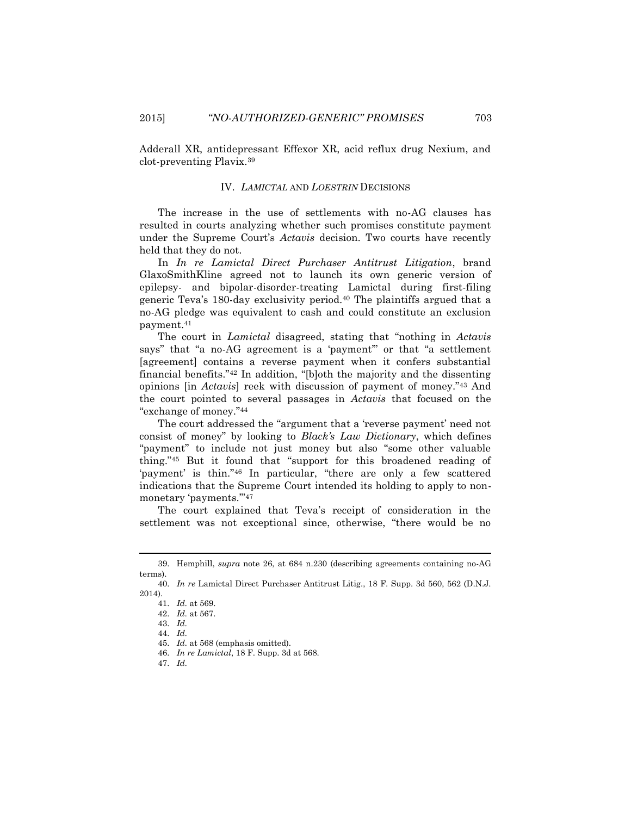Adderall XR, antidepressant Effexor XR, acid reflux drug Nexium, and clot-preventing Plavix.<sup>39</sup>

#### IV. *LAMICTAL* AND *LOESTRIN* DECISIONS

The increase in the use of settlements with no-AG clauses has resulted in courts analyzing whether such promises constitute payment under the Supreme Court's *Actavis* decision. Two courts have recently held that they do not.

In *In re Lamictal Direct Purchaser Antitrust Litigation*, brand GlaxoSmithKline agreed not to launch its own generic version of epilepsy- and bipolar-disorder-treating Lamictal during first-filing generic Teva's 180-day exclusivity period.<sup>40</sup> The plaintiffs argued that a no-AG pledge was equivalent to cash and could constitute an exclusion payment.<sup>41</sup>

The court in *Lamictal* disagreed, stating that "nothing in *Actavis* says" that "a no-AG agreement is a 'payment'" or that "a settlement [agreement] contains a reverse payment when it confers substantial financial benefits."<sup>42</sup> In addition, "[b]oth the majority and the dissenting opinions [in *Actavis*] reek with discussion of payment of money."<sup>43</sup> And the court pointed to several passages in *Actavis* that focused on the "exchange of money."<sup>44</sup>

The court addressed the "argument that a 'reverse payment' need not consist of money" by looking to *Black's Law Dictionary*, which defines "payment" to include not just money but also "some other valuable thing."<sup>45</sup> But it found that "support for this broadened reading of 'payment' is thin."<sup>46</sup> In particular, "there are only a few scattered indications that the Supreme Court intended its holding to apply to nonmonetary 'payments.'"<sup>47</sup>

The court explained that Teva's receipt of consideration in the settlement was not exceptional since, otherwise, "there would be no

<sup>39.</sup> Hemphill, *supra* note [26,](#page-4-1) at 684 n.230 (describing agreements containing no-AG terms).

<sup>40.</sup> *In re* Lamictal Direct Purchaser Antitrust Litig., 18 F. Supp. 3d 560, 562 (D.N.J. 2014).

<sup>41.</sup> *Id.* at 569.

<sup>42.</sup> *Id.* at 567.

<sup>43.</sup> *Id.*

<sup>44.</sup> *Id.*

<sup>45.</sup> *Id.* at 568 (emphasis omitted).

<sup>46.</sup> *In re Lamictal*, 18 F. Supp. 3d at 568.

<sup>47.</sup> *Id.*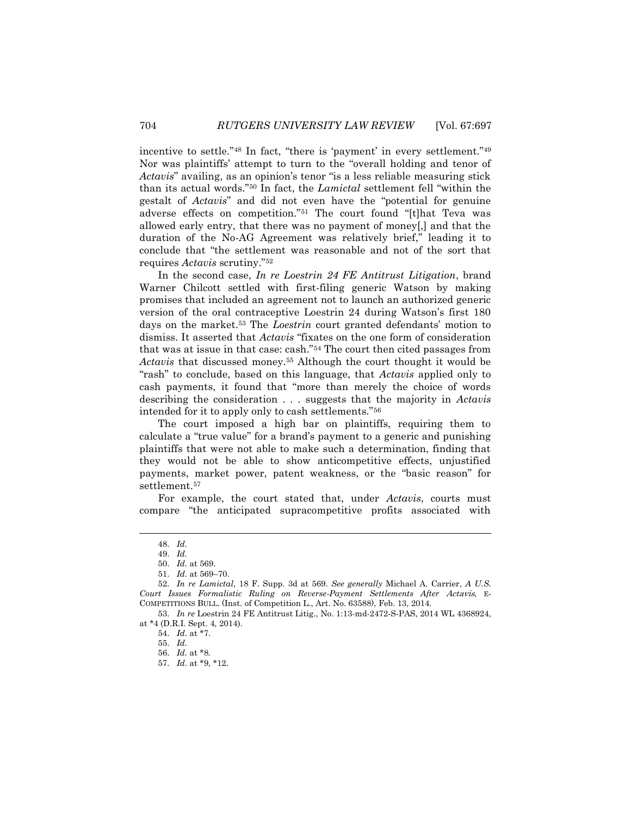incentive to settle."<sup>48</sup> In fact, "there is 'payment' in every settlement."<sup>49</sup> Nor was plaintiffs' attempt to turn to the "overall holding and tenor of *Actavis*" availing, as an opinion's tenor "is a less reliable measuring stick than its actual words."<sup>50</sup> In fact, the *Lamictal* settlement fell "within the gestalt of *Actavis*" and did not even have the "potential for genuine adverse effects on competition."<sup>51</sup> The court found "[t]hat Teva was allowed early entry, that there was no payment of money[,] and that the duration of the No-AG Agreement was relatively brief," leading it to conclude that "the settlement was reasonable and not of the sort that requires *Actavis* scrutiny."<sup>52</sup>

In the second case, *In re Loestrin 24 FE Antitrust Litigation*, brand Warner Chilcott settled with first-filing generic Watson by making promises that included an agreement not to launch an authorized generic version of the oral contraceptive Loestrin 24 during Watson's first 180 days on the market.<sup>53</sup> The *Loestrin* court granted defendants' motion to dismiss. It asserted that *Actavis* "fixates on the one form of consideration that was at issue in that case: cash."<sup>54</sup> The court then cited passages from *Actavis* that discussed money.<sup>55</sup> Although the court thought it would be "rash" to conclude, based on this language, that *Actavis* applied only to cash payments, it found that "more than merely the choice of words describing the consideration . . . suggests that the majority in *Actavis* intended for it to apply only to cash settlements."<sup>56</sup>

The court imposed a high bar on plaintiffs, requiring them to calculate a "true value" for a brand's payment to a generic and punishing plaintiffs that were not able to make such a determination, finding that they would not be able to show anticompetitive effects, unjustified payments, market power, patent weakness, or the "basic reason" for settlement.<sup>57</sup>

For example, the court stated that, under *Actavis*, courts must compare "the anticipated supracompetitive profits associated with

<sup>48.</sup> *Id.*

<sup>49.</sup> *Id.*

<sup>50.</sup> *Id.* at 569.

<sup>51.</sup> *Id.* at 569–70.

<sup>52.</sup> *In re Lamictal*, 18 F. Supp. 3d at 569. *See generally* Michael A. Carrier, *A U.S. Court Issues Formalistic Ruling on Reverse-Payment Settlements After* Actavis, E-COMPETITIONS BULL. (Inst. of Competition L., Art. No. 63588), Feb. 13, 2014.

<sup>53.</sup> *In re* Loestrin 24 FE Antitrust Litig., No. 1:13-md-2472-S-PAS, 2014 WL 4368924, at \*4 (D.R.I. Sept. 4, 2014).

<sup>54.</sup> *Id.* at \*7.

<sup>55.</sup> *Id.*

<sup>56.</sup> *Id.* at \*8.

<sup>57.</sup> *Id.* at \*9, \*12.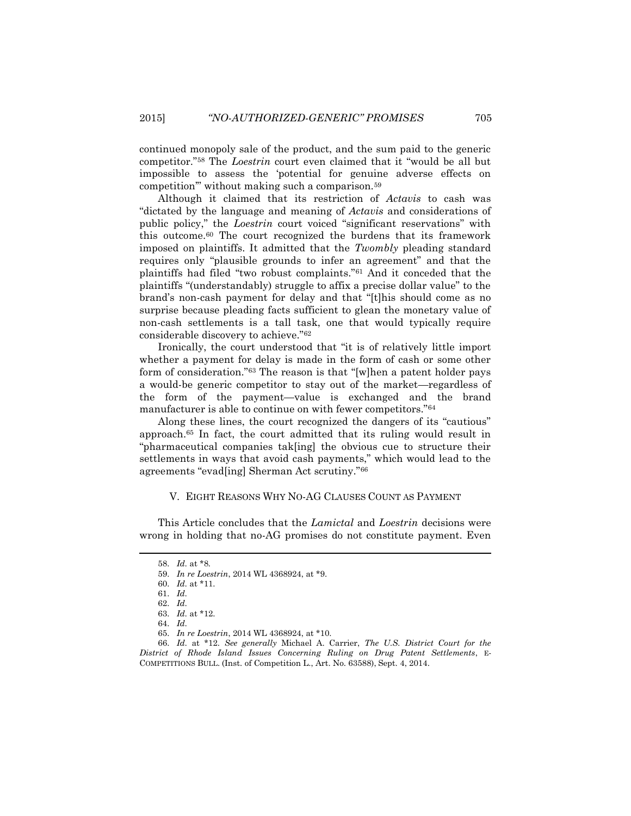continued monopoly sale of the product, and the sum paid to the generic competitor."<sup>58</sup> The *Loestrin* court even claimed that it "would be all but impossible to assess the 'potential for genuine adverse effects on competition'" without making such a comparison.<sup>59</sup>

Although it claimed that its restriction of *Actavis* to cash was "dictated by the language and meaning of *Actavis* and considerations of public policy," the *Loestrin* court voiced "significant reservations" with this outcome.<sup>60</sup> The court recognized the burdens that its framework imposed on plaintiffs. It admitted that the *Twombly* pleading standard requires only "plausible grounds to infer an agreement" and that the plaintiffs had filed "two robust complaints."<sup>61</sup> And it conceded that the plaintiffs "(understandably) struggle to affix a precise dollar value" to the brand's non-cash payment for delay and that "[t]his should come as no surprise because pleading facts sufficient to glean the monetary value of non-cash settlements is a tall task, one that would typically require considerable discovery to achieve."<sup>62</sup>

Ironically, the court understood that "it is of relatively little import whether a payment for delay is made in the form of cash or some other form of consideration."<sup>63</sup> The reason is that "[w]hen a patent holder pays a would-be generic competitor to stay out of the market—regardless of the form of the payment—value is exchanged and the brand manufacturer is able to continue on with fewer competitors."<sup>64</sup>

Along these lines, the court recognized the dangers of its "cautious" approach.<sup>65</sup> In fact, the court admitted that its ruling would result in "pharmaceutical companies tak[ing] the obvious cue to structure their settlements in ways that avoid cash payments," which would lead to the agreements "evad[ing] Sherman Act scrutiny."<sup>66</sup>

#### V. EIGHT REASONS WHY NO-AG CLAUSES COUNT AS PAYMENT

This Article concludes that the *Lamictal* and *Loestrin* decisions were wrong in holding that no-AG promises do not constitute payment. Even

<sup>58.</sup> *Id.* at \*8.

<sup>59.</sup> *In re Loestrin*, 2014 WL 4368924, at \*9.

<sup>60.</sup> *Id.* at \*11.

<sup>61.</sup> *Id.*

<sup>62.</sup> *Id.*

<sup>63.</sup> *Id.* at \*12.

<sup>64.</sup> *Id.*

<sup>65.</sup> *In re Loestrin*, 2014 WL 4368924, at \*10.

<sup>66.</sup> *Id.* at \*12. *See generally* Michael A. Carrier, *The U.S. District Court for the District of Rhode Island Issues Concerning Ruling on Drug Patent Settlements*, E-COMPETITIONS BULL. (Inst. of Competition L., Art. No. 63588), Sept. 4, 2014.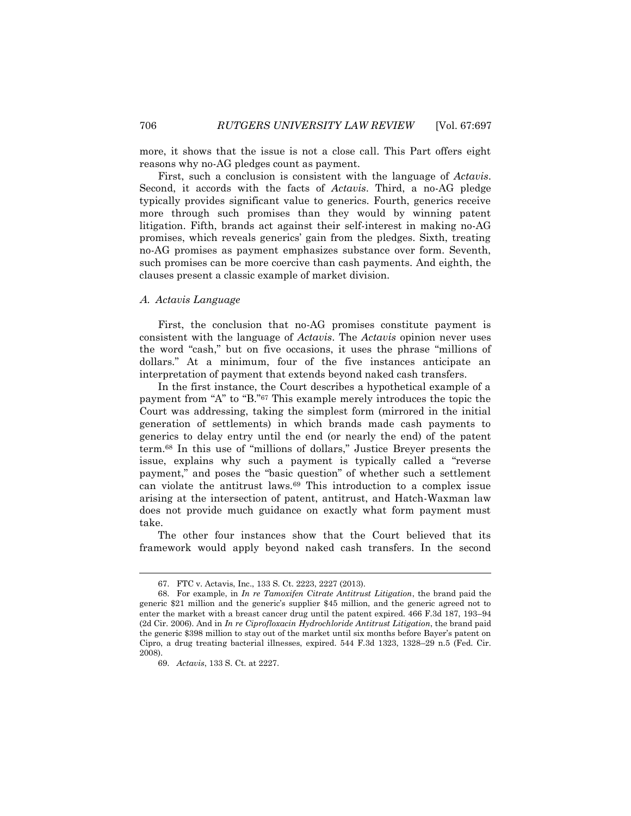more, it shows that the issue is not a close call. This Part offers eight reasons why no-AG pledges count as payment.

First, such a conclusion is consistent with the language of *Actavis*. Second, it accords with the facts of *Actavis*. Third, a no-AG pledge typically provides significant value to generics. Fourth, generics receive more through such promises than they would by winning patent litigation. Fifth, brands act against their self-interest in making no-AG promises, which reveals generics' gain from the pledges. Sixth, treating no-AG promises as payment emphasizes substance over form. Seventh, such promises can be more coercive than cash payments. And eighth, the clauses present a classic example of market division.

### A. *Actavis Language*

First, the conclusion that no-AG promises constitute payment is consistent with the language of *Actavis*. The *Actavis* opinion never uses the word "cash," but on five occasions, it uses the phrase "millions of dollars." At a minimum, four of the five instances anticipate an interpretation of payment that extends beyond naked cash transfers.

In the first instance, the Court describes a hypothetical example of a payment from "A" to "B."<sup>67</sup> This example merely introduces the topic the Court was addressing, taking the simplest form (mirrored in the initial generation of settlements) in which brands made cash payments to generics to delay entry until the end (or nearly the end) of the patent term.<sup>68</sup> In this use of "millions of dollars," Justice Breyer presents the issue, explains why such a payment is typically called a "reverse payment," and poses the "basic question" of whether such a settlement can violate the antitrust laws.<sup>69</sup> This introduction to a complex issue arising at the intersection of patent, antitrust, and Hatch-Waxman law does not provide much guidance on exactly what form payment must take.

The other four instances show that the Court believed that its framework would apply beyond naked cash transfers. In the second

<sup>67.</sup> FTC v. Actavis, Inc., 133 S. Ct. 2223, 2227 (2013).

<sup>68.</sup> For example, in *In re Tamoxifen Citrate Antitrust Litigation*, the brand paid the generic \$21 million and the generic's supplier \$45 million, and the generic agreed not to enter the market with a breast cancer drug until the patent expired. 466 F.3d 187, 193–94 (2d Cir. 2006). And in *In re Ciprofloxacin Hydrochloride Antitrust Litigation*, the brand paid the generic \$398 million to stay out of the market until six months before Bayer's patent on Cipro, a drug treating bacterial illnesses, expired. 544 F.3d 1323, 1328–29 n.5 (Fed. Cir. 2008).

<sup>69.</sup> *Actavis*, 133 S. Ct. at 2227.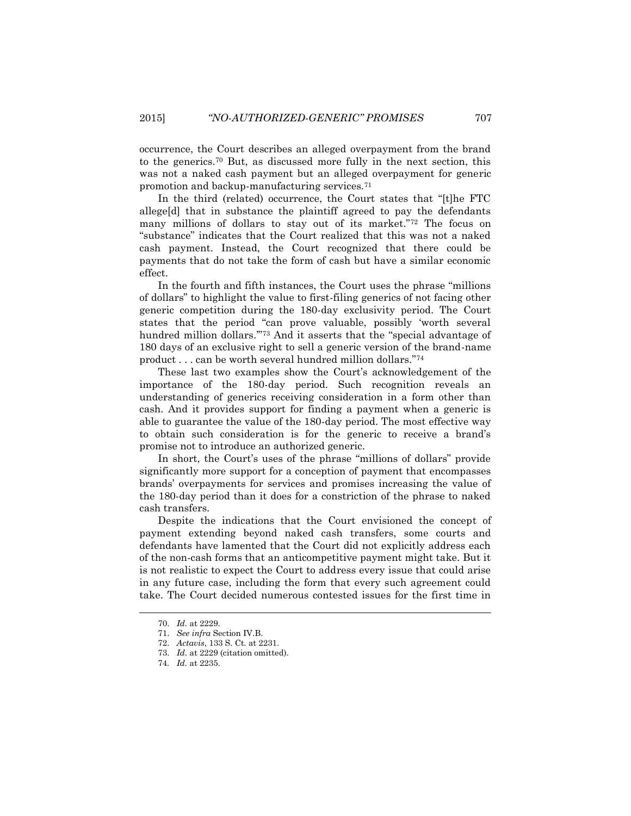occurrence, the Court describes an alleged overpayment from the brand to the generics.<sup>70</sup> But, as discussed more fully in the next section, this was not a naked cash payment but an alleged overpayment for generic promotion and backup-manufacturing services.<sup>71</sup>

In the third (related) occurrence, the Court states that "[t]he FTC allege[d] that in substance the plaintiff agreed to pay the defendants many millions of dollars to stay out of its market."<sup>72</sup> The focus on "substance" indicates that the Court realized that this was not a naked cash payment. Instead, the Court recognized that there could be payments that do not take the form of cash but have a similar economic effect.

In the fourth and fifth instances, the Court uses the phrase "millions of dollars" to highlight the value to first-filing generics of not facing other generic competition during the 180-day exclusivity period. The Court states that the period "can prove valuable, possibly 'worth several hundred million dollars.'"<sup>73</sup> And it asserts that the "special advantage of 180 days of an exclusive right to sell a generic version of the brand-name product . . . can be worth several hundred million dollars."<sup>74</sup>

These last two examples show the Court's acknowledgement of the importance of the 180-day period. Such recognition reveals an understanding of generics receiving consideration in a form other than cash. And it provides support for finding a payment when a generic is able to guarantee the value of the 180-day period. The most effective way to obtain such consideration is for the generic to receive a brand's promise not to introduce an authorized generic.

In short, the Court's uses of the phrase "millions of dollars" provide significantly more support for a conception of payment that encompasses brands' overpayments for services and promises increasing the value of the 180-day period than it does for a constriction of the phrase to naked cash transfers.

Despite the indications that the Court envisioned the concept of payment extending beyond naked cash transfers, some courts and defendants have lamented that the Court did not explicitly address each of the non-cash forms that an anticompetitive payment might take. But it is not realistic to expect the Court to address every issue that could arise in any future case, including the form that every such agreement could take. The Court decided numerous contested issues for the first time in

<sup>70.</sup> *Id.* at 2229.

<sup>71.</sup> *See infra* Section IV.B.

<sup>72.</sup> *Actavis*, 133 S. Ct. at 2231.

<sup>73.</sup> *Id.* at 2229 (citation omitted).

<sup>74</sup>*. Id.* at 2235.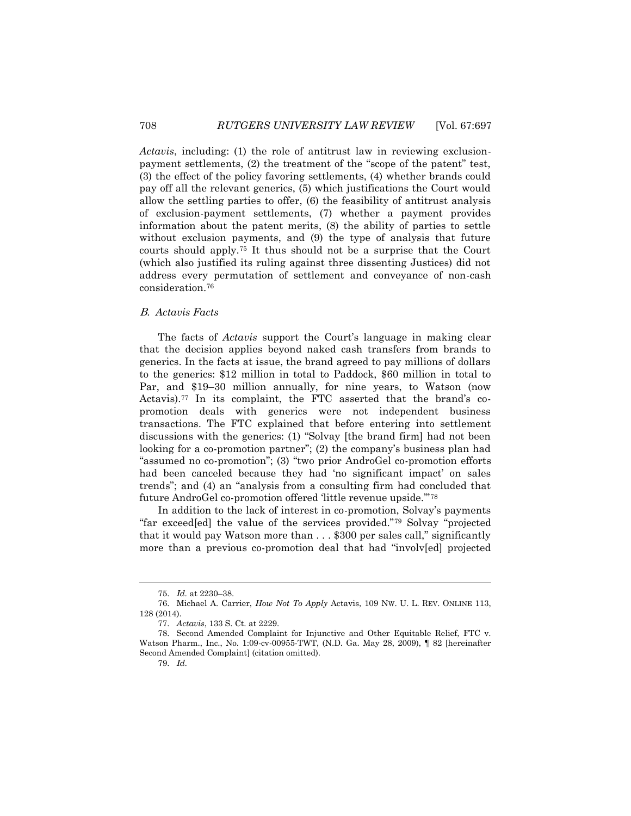*Actavis*, including: (1) the role of antitrust law in reviewing exclusionpayment settlements, (2) the treatment of the "scope of the patent" test, (3) the effect of the policy favoring settlements, (4) whether brands could pay off all the relevant generics, (5) which justifications the Court would allow the settling parties to offer, (6) the feasibility of antitrust analysis of exclusion-payment settlements, (7) whether a payment provides information about the patent merits, (8) the ability of parties to settle without exclusion payments, and  $(9)$  the type of analysis that future courts should apply.<sup>75</sup> It thus should not be a surprise that the Court (which also justified its ruling against three dissenting Justices) did not address every permutation of settlement and conveyance of non-cash consideration.<sup>76</sup>

### B. *Actavis Facts*

The facts of *Actavis* support the Court's language in making clear that the decision applies beyond naked cash transfers from brands to generics. In the facts at issue, the brand agreed to pay millions of dollars to the generics: \$12 million in total to Paddock, \$60 million in total to Par, and \$19–30 million annually, for nine years, to Watson (now Actavis).<sup>77</sup> In its complaint, the FTC asserted that the brand's copromotion deals with generics were not independent business transactions. The FTC explained that before entering into settlement discussions with the generics: (1) "Solvay [the brand firm] had not been looking for a co-promotion partner"; (2) the company's business plan had "assumed no co-promotion"; (3) "two prior AndroGel co-promotion efforts had been canceled because they had 'no significant impact' on sales trends"; and (4) an "analysis from a consulting firm had concluded that future AndroGel co-promotion offered 'little revenue upside.'"<sup>78</sup>

In addition to the lack of interest in co-promotion, Solvay's payments "far exceed[ed] the value of the services provided."<sup>79</sup> Solvay "projected that it would pay Watson more than . . . \$300 per sales call," significantly more than a previous co-promotion deal that had "involv[ed] projected

<sup>75.</sup> *Id.* at 2230–38.

<sup>76.</sup> Michael A. Carrier, *How Not To Apply* Actavis, 109 NW. U. L. REV. ONLINE 113, 128 (2014).

<sup>77.</sup> *Actavis*, 133 S. Ct. at 2229.

<sup>78.</sup> Second Amended Complaint for Injunctive and Other Equitable Relief, FTC v. Watson Pharm., Inc., No. 1:09-cv-00955-TWT, (N.D. Ga. May 28, 2009), ¶ 82 [hereinafter Second Amended Complaint] (citation omitted).

<sup>79.</sup> *Id.*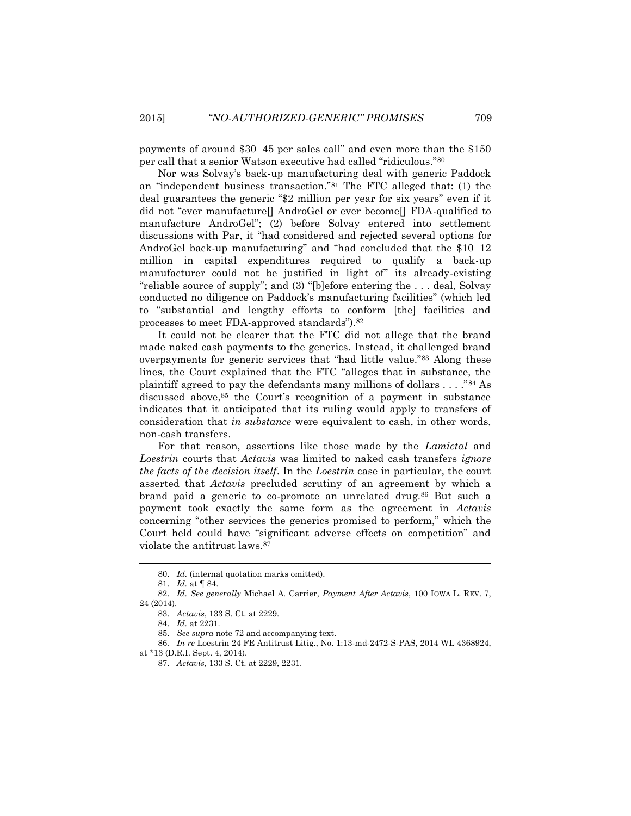payments of around \$30–45 per sales call" and even more than the \$150 per call that a senior Watson executive had called "ridiculous."<sup>80</sup>

Nor was Solvay's back-up manufacturing deal with generic Paddock an "independent business transaction."<sup>81</sup> The FTC alleged that: (1) the deal guarantees the generic "\$2 million per year for six years" even if it did not "ever manufacture[] AndroGel or ever become[] FDA-qualified to manufacture AndroGel"; (2) before Solvay entered into settlement discussions with Par, it "had considered and rejected several options for AndroGel back-up manufacturing" and "had concluded that the \$10–12 million in capital expenditures required to qualify a back-up manufacturer could not be justified in light of" its already-existing "reliable source of supply"; and (3) "[b]efore entering the . . . deal, Solvay conducted no diligence on Paddock's manufacturing facilities" (which led to "substantial and lengthy efforts to conform [the] facilities and processes to meet FDA-approved standards").<sup>82</sup>

<span id="page-12-0"></span>It could not be clearer that the FTC did not allege that the brand made naked cash payments to the generics. Instead, it challenged brand overpayments for generic services that "had little value."<sup>83</sup> Along these lines, the Court explained that the FTC "alleges that in substance, the plaintiff agreed to pay the defendants many millions of dollars . . . ."<sup>84</sup> As discussed above,<sup>85</sup> the Court's recognition of a payment in substance indicates that it anticipated that its ruling would apply to transfers of consideration that *in substance* were equivalent to cash, in other words, non-cash transfers.

For that reason, assertions like those made by the *Lamictal* and *Loestrin* courts that *Actavis* was limited to naked cash transfers *ignore the facts of the decision itself*. In the *Loestrin* case in particular, the court asserted that *Actavis* precluded scrutiny of an agreement by which a brand paid a generic to co-promote an unrelated drug.<sup>86</sup> But such a payment took exactly the same form as the agreement in *Actavis* concerning "other services the generics promised to perform," which the Court held could have "significant adverse effects on competition" and violate the antitrust laws.<sup>87</sup>

<sup>80.</sup> *Id.* (internal quotation marks omitted).

<sup>81.</sup> *Id.* at ¶ 84.

<sup>82.</sup> *Id. See generally* Michael A. Carrier, *Payment After Actavis*, 100 IOWA L. REV. 7, 24 (2014).

<sup>83.</sup> *Actavis*, 133 S. Ct. at 2229.

<sup>84.</sup> *Id.* at 2231.

<sup>85.</sup> *See supra* note 72 and accompanying text.

<sup>86</sup>*. In re* Loestrin 24 FE Antitrust Litig., No. 1:13-md-2472-S-PAS, 2014 WL 4368924,

at \*13 (D.R.I. Sept. 4, 2014).

<sup>87.</sup> *Actavis*, 133 S. Ct. at 2229, 2231.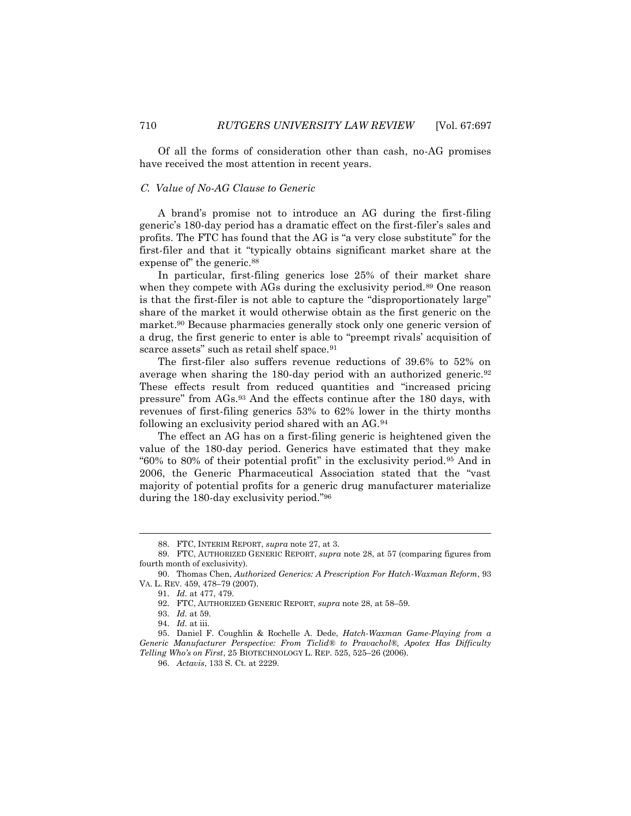Of all the forms of consideration other than cash, no-AG promises have received the most attention in recent years.

### C. *Value of No-AG Clause to Generic*

A brand's promise not to introduce an AG during the first-filing generic's 180-day period has a dramatic effect on the first-filer's sales and profits. The FTC has found that the AG is "a very close substitute" for the first-filer and that it "typically obtains significant market share at the expense of" the generic.<sup>88</sup>

In particular, first-filing generics lose 25% of their market share when they compete with AGs during the exclusivity period.<sup>89</sup> One reason is that the first-filer is not able to capture the "disproportionately large" share of the market it would otherwise obtain as the first generic on the market.<sup>90</sup> Because pharmacies generally stock only one generic version of a drug, the first generic to enter is able to "preempt rivals' acquisition of scarce assets" such as retail shelf space.<sup>91</sup>

<span id="page-13-2"></span>The first-filer also suffers revenue reductions of 39.6% to 52% on average when sharing the 180-day period with an authorized generic.<sup>92</sup> These effects result from reduced quantities and "increased pricing pressure" from AGs.<sup>93</sup> And the effects continue after the 180 days, with revenues of first-filing generics 53% to 62% lower in the thirty months following an exclusivity period shared with an AG.<sup>94</sup>

The effect an AG has on a first-filing generic is heightened given the value of the 180-day period. Generics have estimated that they make "60% to 80% of their potential profit" in the exclusivity period.<sup>95</sup> And in 2006, the Generic Pharmaceutical Association stated that the "vast majority of potential profits for a generic drug manufacturer materialize during the 180-day exclusivity period."<sup>96</sup>

<span id="page-13-1"></span><span id="page-13-0"></span><sup>88.</sup> FTC, INTERIM REPORT, *supra* not[e 27,](#page-4-2) at 3.

<sup>89.</sup> FTC, AUTHORIZED GENERIC REPORT, *supra* note [28,](#page-4-0) at 57 (comparing figures from fourth month of exclusivity).

<sup>90.</sup> Thomas Chen, *Authorized Generics: A Prescription For Hatch-Waxman Reform*, 93 VA. L. REV. 459, 478–79 (2007).

<sup>91.</sup> *Id.* at 477, 479.

<sup>92.</sup> FTC, AUTHORIZED GENERIC REPORT, *supra* not[e 28,](#page-4-0) at 58–59.

<sup>93.</sup> *Id.* at 59.

<sup>94.</sup> *Id.* at iii.

<sup>95.</sup> Daniel F. Coughlin & Rochelle A. Dede, *Hatch-Waxman Game-Playing from a Generic Manufacturer Perspective: From Ticlid® to Pravachol®, Apotex Has Difficulty Telling Who's on First*, 25 BIOTECHNOLOGY L. REP. 525, 525–26 (2006).

<sup>96.</sup> *Actavis*, 133 S. Ct. at 2229.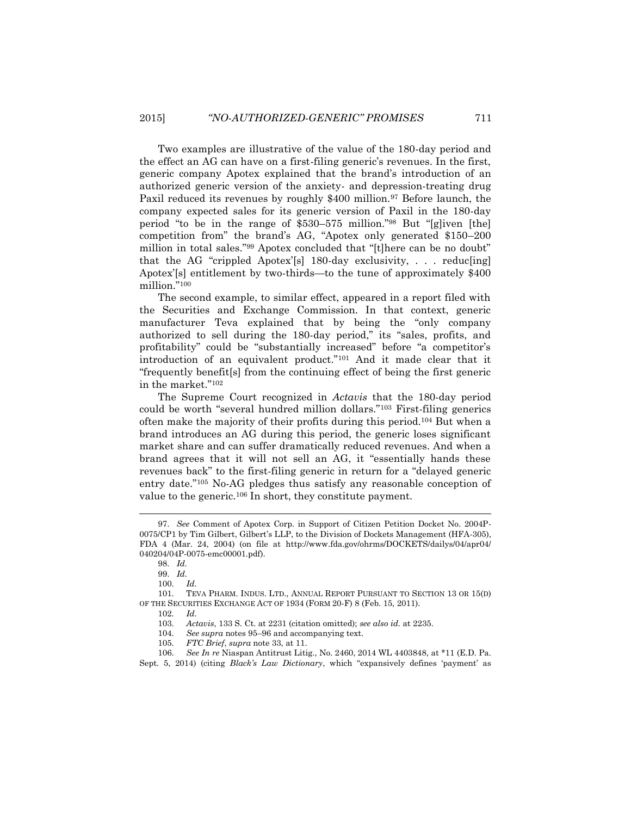Two examples are illustrative of the value of the 180-day period and the effect an AG can have on a first-filing generic's revenues. In the first, generic company Apotex explained that the brand's introduction of an authorized generic version of the anxiety- and depression-treating drug Paxil reduced its revenues by roughly \$400 million.<sup>97</sup> Before launch, the company expected sales for its generic version of Paxil in the 180-day period "to be in the range of \$530–575 million."<sup>98</sup> But "[g]iven [the] competition from" the brand's AG, "Apotex only generated \$150–200 million in total sales."<sup>99</sup> Apotex concluded that "[t]here can be no doubt" that the AG "crippled Apotex'[s]  $180$ -day exclusivity, ... reduc[ing] Apotex'[s] entitlement by two-thirds—to the tune of approximately \$400 million."<sup>100</sup>

The second example, to similar effect, appeared in a report filed with the Securities and Exchange Commission. In that context, generic manufacturer Teva explained that by being the "only company authorized to sell during the 180-day period," its "sales, profits, and profitability" could be "substantially increased" before "a competitor's introduction of an equivalent product."<sup>101</sup> And it made clear that it "frequently benefit[s] from the continuing effect of being the first generic in the market."<sup>102</sup>

The Supreme Court recognized in *Actavis* that the 180-day period could be worth "several hundred million dollars."<sup>103</sup> First-filing generics often make the majority of their profits during this period.<sup>104</sup> But when a brand introduces an AG during this period, the generic loses significant market share and can suffer dramatically reduced revenues. And when a brand agrees that it will not sell an AG, it "essentially hands these revenues back" to the first-filing generic in return for a "delayed generic entry date."<sup>105</sup> No-AG pledges thus satisfy any reasonable conception of value to the generic.<sup>106</sup> In short, they constitute payment.

- 103. *Actavis*, 133 S. Ct. at 2231 (citation omitted); *see also id.* at 2235.
- 104. *See supra* note[s 95](#page-13-0)–[96](#page-13-1) and accompanying text.
- 105. *FTC Brief*, *supra* note [33,](#page-5-0) at 11.

<sup>97.</sup> *See* Comment of Apotex Corp. in Support of Citizen Petition Docket No. 2004P-0075/CP1 by Tim Gilbert, Gilbert's LLP, to the Division of Dockets Management (HFA-305), FDA 4 (Mar. 24, 2004) (on file at http://www.fda.gov/ohrms/DOCKETS/dailys/04/apr04/ 040204/04P-0075-emc00001.pdf).

<sup>98.</sup> *Id.*

<sup>99.</sup> *Id.*

<sup>100.</sup> *Id.*

<sup>101.</sup> TEVA PHARM. INDUS. LTD., ANNUAL REPORT PURSUANT TO SECTION 13 OR 15(D) OF THE SECURITIES EXCHANGE ACT OF 1934 (FORM 20-F) 8 (Feb. 15, 2011).

<sup>102.</sup> *Id.*

<sup>106.</sup> *See In re* Niaspan Antitrust Litig., No. 2460, 2014 WL 4403848, at \*11 (E.D. Pa. Sept. 5, 2014) (citing *Black's Law Dictionary*, which "expansively defines 'payment' as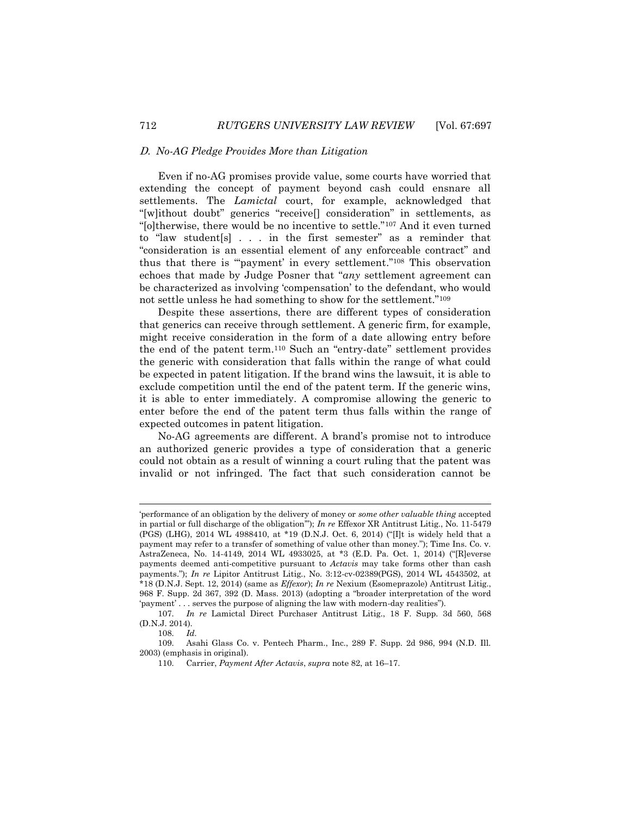### D. *No-AG Pledge Provides More than Litigation*

Even if no-AG promises provide value, some courts have worried that extending the concept of payment beyond cash could ensnare all settlements. The *Lamictal* court, for example, acknowledged that "[w]ithout doubt" generics "receive[] consideration" in settlements, as "[o]therwise, there would be no incentive to settle."<sup>107</sup> And it even turned to "law student[s] . . . in the first semester" as a reminder that "consideration is an essential element of any enforceable contract" and thus that there is "'payment' in every settlement."<sup>108</sup> This observation echoes that made by Judge Posner that "*any* settlement agreement can be characterized as involving 'compensation' to the defendant, who would not settle unless he had something to show for the settlement."<sup>109</sup>

Despite these assertions, there are different types of consideration that generics can receive through settlement. A generic firm, for example, might receive consideration in the form of a date allowing entry before the end of the patent term.<sup>110</sup> Such an "entry-date" settlement provides the generic with consideration that falls within the range of what could be expected in patent litigation. If the brand wins the lawsuit, it is able to exclude competition until the end of the patent term. If the generic wins, it is able to enter immediately. A compromise allowing the generic to enter before the end of the patent term thus falls within the range of expected outcomes in patent litigation.

No-AG agreements are different. A brand's promise not to introduce an authorized generic provides a type of consideration that a generic could not obtain as a result of winning a court ruling that the patent was invalid or not infringed. The fact that such consideration cannot be

<sup>&#</sup>x27;performance of an obligation by the delivery of money or *some other valuable thing* accepted in partial or full discharge of the obligation'"); *In re* Effexor XR Antitrust Litig., No. 11-5479 (PGS) (LHG), 2014 WL 4988410, at \*19 (D.N.J. Oct. 6, 2014) ("[I]t is widely held that a payment may refer to a transfer of something of value other than money."); Time Ins. Co. v. AstraZeneca, No. 14-4149, 2014 WL 4933025, at \*3 (E.D. Pa. Oct. 1, 2014) ("[R]everse payments deemed anti-competitive pursuant to *Actavis* may take forms other than cash payments."); *In re* Lipitor Antitrust Litig., No. 3:12-cv-02389(PGS), 2014 WL 4543502, at \*18 (D.N.J. Sept. 12, 2014) (same as *Effexor*); *In re* Nexium (Esomeprazole) Antitrust Litig., 968 F. Supp. 2d 367, 392 (D. Mass. 2013) (adopting a "broader interpretation of the word 'payment' . . . serves the purpose of aligning the law with modern-day realities").

<sup>107.</sup> *In re* Lamictal Direct Purchaser Antitrust Litig., 18 F. Supp. 3d 560, 568 (D.N.J. 2014).

<sup>108.</sup> *Id.*

<sup>109.</sup> Asahi Glass Co. v. Pentech Pharm., Inc., 289 F. Supp. 2d 986, 994 (N.D. Ill. 2003) (emphasis in original).

<sup>110.</sup> Carrier, *Payment After Actavis*, *supra* not[e 82,](#page-12-0) at 16–17.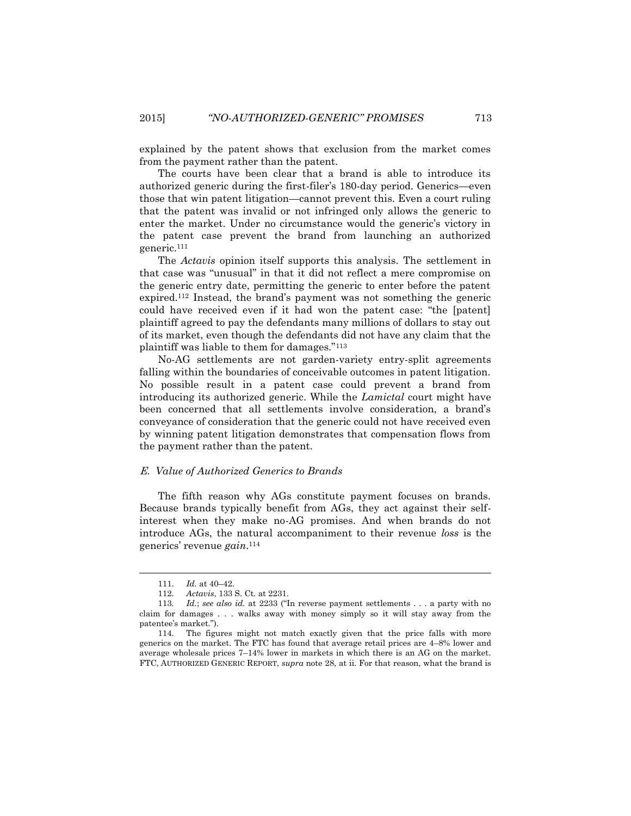explained by the patent shows that exclusion from the market comes from the payment rather than the patent.

The courts have been clear that a brand is able to introduce its authorized generic during the first-filer's 180-day period. Generics—even those that win patent litigation—cannot prevent this. Even a court ruling that the patent was invalid or not infringed only allows the generic to enter the market. Under no circumstance would the generic's victory in the patent case prevent the brand from launching an authorized generic.<sup>111</sup>

The *Actavis* opinion itself supports this analysis. The settlement in that case was "unusual" in that it did not reflect a mere compromise on the generic entry date, permitting the generic to enter before the patent expired.<sup>112</sup> Instead, the brand's payment was not something the generic could have received even if it had won the patent case: "the [patent] plaintiff agreed to pay the defendants many millions of dollars to stay out of its market, even though the defendants did not have any claim that the plaintiff was liable to them for damages."<sup>113</sup>

No-AG settlements are not garden-variety entry-split agreements falling within the boundaries of conceivable outcomes in patent litigation. No possible result in a patent case could prevent a brand from introducing its authorized generic. While the *Lamictal* court might have been concerned that all settlements involve consideration, a brand's conveyance of consideration that the generic could not have received even by winning patent litigation demonstrates that compensation flows from the payment rather than the patent.

#### E. *Value of Authorized Generics to Brands*

The fifth reason why AGs constitute payment focuses on brands. Because brands typically benefit from AGs, they act against their selfinterest when they make no-AG promises. And when brands do not introduce AGs, the natural accompaniment to their revenue *loss* is the generics' revenue *gain*. 114

<sup>111.</sup> *Id.* at 40–42.

<sup>112.</sup> *Actavis*, 133 S. Ct. at 2231.

<sup>113.</sup> *Id.*; *see also id.* at 2233 ("In reverse payment settlements . . . a party with no claim for damages . . . walks away with money simply so it will stay away from the patentee's market.").

<sup>114.</sup> The figures might not match exactly given that the price falls with more generics on the market. The FTC has found that average retail prices are 4–8% lower and average wholesale prices 7–14% lower in markets in which there is an AG on the market. FTC, AUTHORIZED GENERIC REPORT, *supra* note [28,](#page-4-0) at ii. For that reason, what the brand is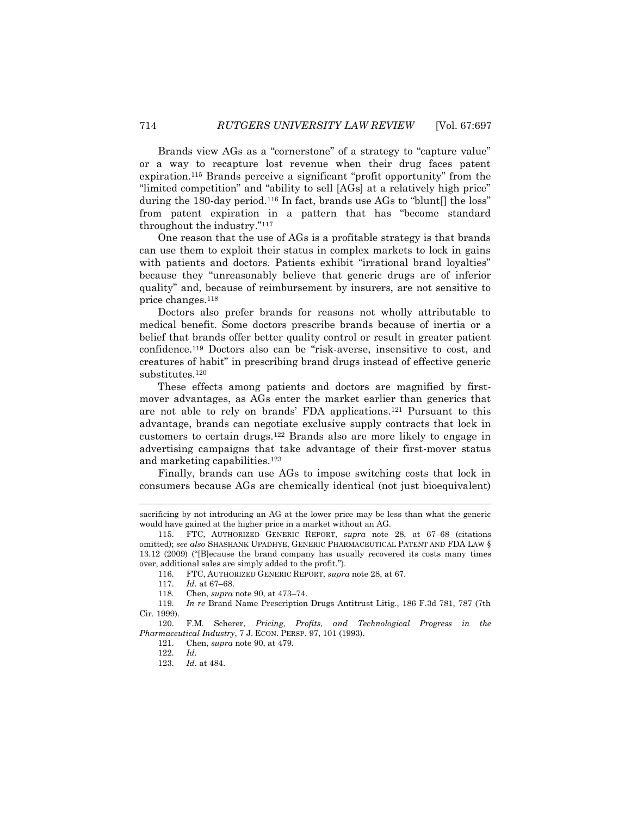Brands view AGs as a "cornerstone" of a strategy to "capture value" or a way to recapture lost revenue when their drug faces patent expiration.<sup>115</sup> Brands perceive a significant "profit opportunity" from the "limited competition" and "ability to sell [AGs] at a relatively high price" during the 180-day period.<sup>116</sup> In fact, brands use AGs to "blunt. The loss" from patent expiration in a pattern that has "become standard throughout the industry."<sup>117</sup>

One reason that the use of AGs is a profitable strategy is that brands can use them to exploit their status in complex markets to lock in gains with patients and doctors. Patients exhibit "irrational brand loyalties" because they "unreasonably believe that generic drugs are of inferior quality" and, because of reimbursement by insurers, are not sensitive to price changes.<sup>118</sup>

Doctors also prefer brands for reasons not wholly attributable to medical benefit. Some doctors prescribe brands because of inertia or a belief that brands offer better quality control or result in greater patient confidence.<sup>119</sup> Doctors also can be "risk-averse, insensitive to cost, and creatures of habit" in prescribing brand drugs instead of effective generic substitutes.<sup>120</sup>

These effects among patients and doctors are magnified by firstmover advantages, as AGs enter the market earlier than generics that are not able to rely on brands' FDA applications.<sup>121</sup> Pursuant to this advantage, brands can negotiate exclusive supply contracts that lock in customers to certain drugs.<sup>122</sup> Brands also are more likely to engage in advertising campaigns that take advantage of their first-mover status and marketing capabilities.<sup>123</sup>

Finally, brands can use AGs to impose switching costs that lock in consumers because AGs are chemically identical (not just bioequivalent)

116. FTC, AUTHORIZED GENERIC REPORT, *supra* not[e 28,](#page-4-0) at 67.

sacrificing by not introducing an AG at the lower price may be less than what the generic would have gained at the higher price in a market without an AG.

<sup>115.</sup> FTC, AUTHORIZED GENERIC REPORT, *supra* note [28,](#page-4-0) at 67–68 (citations omitted); *see also* SHASHANK UPADHYE, GENERIC PHARMACEUTICAL PATENT AND FDA LAW § 13.12 (2009) ("[B]ecause the brand company has usually recovered its costs many times over, additional sales are simply added to the profit.").

<sup>117.</sup> *Id.* at 67–68.

<sup>118.</sup> Chen, *supra* not[e 90,](#page-13-2) at 473–74.

<sup>119.</sup> *In re* Brand Name Prescription Drugs Antitrust Litig., 186 F.3d 781, 787 (7th Cir. 1999).

<sup>120.</sup> F.M. Scherer, *Pricing, Profits, and Technological Progress in the Pharmaceutical Industry*, 7 J. ECON. PERSP. 97, 101 (1993).

<sup>121.</sup> Chen, *supra* not[e 90,](#page-13-2) at 479.

<sup>122.</sup> *Id.*

<sup>123.</sup> *Id.* at 484.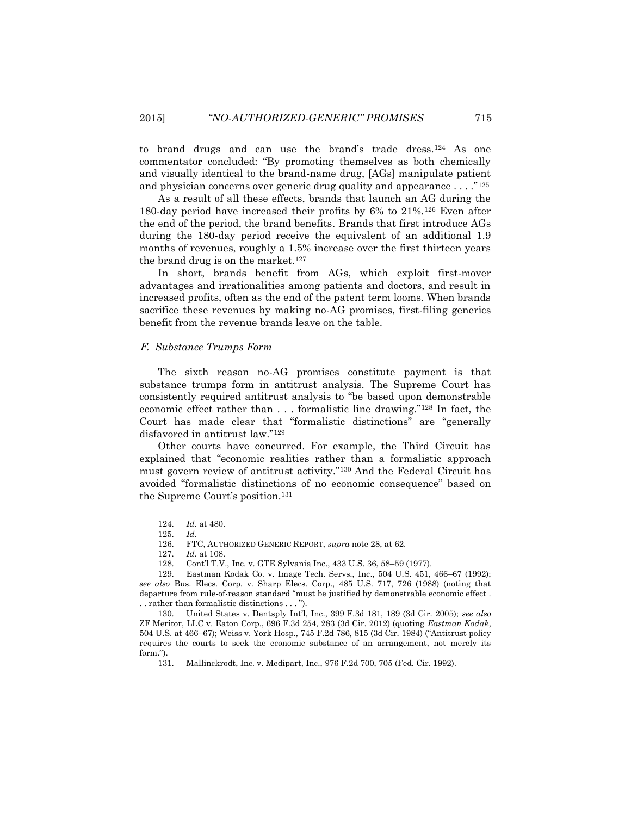to brand drugs and can use the brand's trade dress.<sup>124</sup> As one commentator concluded: "By promoting themselves as both chemically and visually identical to the brand-name drug, [AGs] manipulate patient and physician concerns over generic drug quality and appearance . . . ."125

As a result of all these effects, brands that launch an AG during the 180-day period have increased their profits by 6% to 21%.<sup>126</sup> Even after the end of the period, the brand benefits. Brands that first introduce AGs during the 180-day period receive the equivalent of an additional 1.9 months of revenues, roughly a 1.5% increase over the first thirteen years the brand drug is on the market.<sup>127</sup>

In short, brands benefit from AGs, which exploit first-mover advantages and irrationalities among patients and doctors, and result in increased profits, often as the end of the patent term looms. When brands sacrifice these revenues by making no-AG promises, first-filing generics benefit from the revenue brands leave on the table.

### F. *Substance Trumps Form*

The sixth reason no-AG promises constitute payment is that substance trumps form in antitrust analysis. The Supreme Court has consistently required antitrust analysis to "be based upon demonstrable economic effect rather than . . . formalistic line drawing."<sup>128</sup> In fact, the Court has made clear that "formalistic distinctions" are "generally disfavored in antitrust law."<sup>129</sup>

Other courts have concurred. For example, the Third Circuit has explained that "economic realities rather than a formalistic approach must govern review of antitrust activity."<sup>130</sup> And the Federal Circuit has avoided "formalistic distinctions of no economic consequence" based on the Supreme Court's position.<sup>131</sup>

 $\overline{a}$ 

<sup>124.</sup> *Id.* at 480.

<sup>125.</sup> *Id.*

<sup>126.</sup> FTC, AUTHORIZED GENERIC REPORT, *supra* not[e 28,](#page-4-0) at 62.

<sup>127.</sup> *Id.* at 108.

<sup>128.</sup> Cont'l T.V., Inc. v. GTE Sylvania Inc., 433 U.S. 36, 58–59 (1977).

<sup>129.</sup> Eastman Kodak Co. v. Image Tech. Servs., Inc., 504 U.S. 451, 466–67 (1992); *see also* Bus. Elecs. Corp. v. Sharp Elecs. Corp., 485 U.S. 717, 726 (1988) (noting that departure from rule-of-reason standard "must be justified by demonstrable economic effect . . . rather than formalistic distinctions . . . ").

<sup>130.</sup> United States v. Dentsply Int'l, Inc., 399 F.3d 181, 189 (3d Cir. 2005); *see also* ZF Meritor, LLC v. Eaton Corp., 696 F.3d 254, 283 (3d Cir. 2012) (quoting *Eastman Kodak*, 504 U.S. at 466–67); Weiss v. York Hosp., 745 F.2d 786, 815 (3d Cir. 1984) ("Antitrust policy requires the courts to seek the economic substance of an arrangement, not merely its form.").

<sup>131.</sup> Mallinckrodt, Inc. v. Medipart, Inc., 976 F.2d 700, 705 (Fed. Cir. 1992).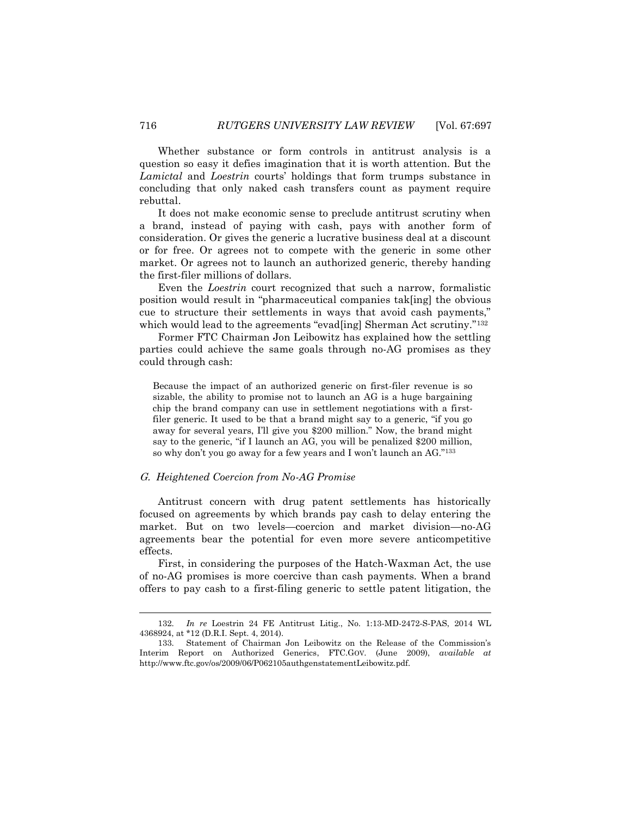Whether substance or form controls in antitrust analysis is a question so easy it defies imagination that it is worth attention. But the *Lamictal* and *Loestrin* courts' holdings that form trumps substance in concluding that only naked cash transfers count as payment require rebuttal.

It does not make economic sense to preclude antitrust scrutiny when a brand, instead of paying with cash, pays with another form of consideration. Or gives the generic a lucrative business deal at a discount or for free. Or agrees not to compete with the generic in some other market. Or agrees not to launch an authorized generic, thereby handing the first-filer millions of dollars.

Even the *Loestrin* court recognized that such a narrow, formalistic position would result in "pharmaceutical companies tak[ing] the obvious cue to structure their settlements in ways that avoid cash payments," which would lead to the agreements "evad[ing] Sherman Act scrutiny."<sup>132</sup>

Former FTC Chairman Jon Leibowitz has explained how the settling parties could achieve the same goals through no-AG promises as they could through cash:

Because the impact of an authorized generic on first-filer revenue is so sizable, the ability to promise not to launch an AG is a huge bargaining chip the brand company can use in settlement negotiations with a firstfiler generic. It used to be that a brand might say to a generic, "if you go away for several years, I'll give you \$200 million." Now, the brand might say to the generic, "if I launch an AG, you will be penalized \$200 million, so why don't you go away for a few years and I won't launch an AG."<sup>133</sup>

### G. *Heightened Coercion from No-AG Promise*

Antitrust concern with drug patent settlements has historically focused on agreements by which brands pay cash to delay entering the market. But on two levels—coercion and market division—no-AG agreements bear the potential for even more severe anticompetitive effects.

First, in considering the purposes of the Hatch-Waxman Act, the use of no-AG promises is more coercive than cash payments. When a brand offers to pay cash to a first-filing generic to settle patent litigation, the

<sup>132.</sup> *In re* Loestrin 24 FE Antitrust Litig., No. 1:13-MD-2472-S-PAS, 2014 WL 4368924, at \*12 (D.R.I. Sept. 4, 2014).

<sup>133.</sup> Statement of Chairman Jon Leibowitz on the Release of the Commission's Interim Report on Authorized Generics, FTC.GOV. (June 2009), *available at* http://www.ftc.gov/os/2009/06/P062105authgenstatementLeibowitz.pdf.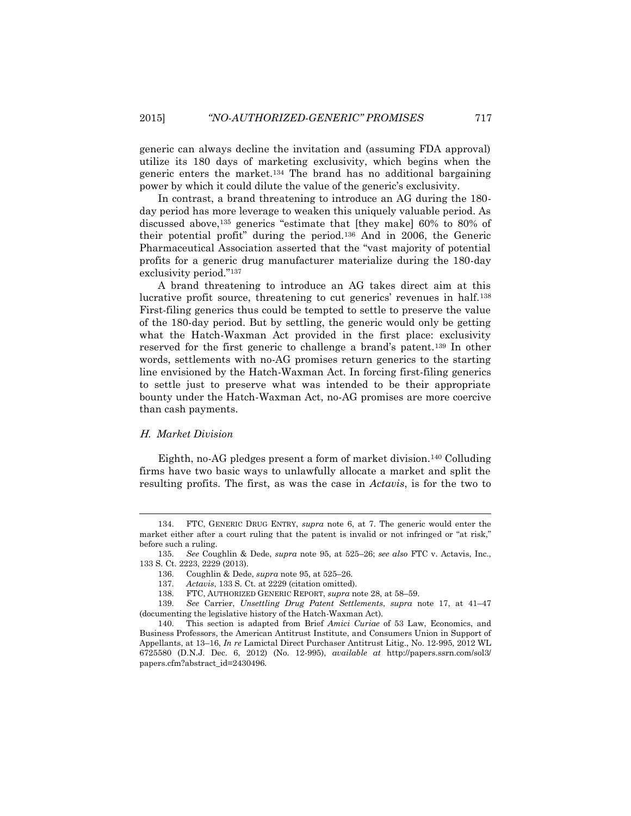generic can always decline the invitation and (assuming FDA approval) utilize its 180 days of marketing exclusivity, which begins when the generic enters the market.<sup>134</sup> The brand has no additional bargaining power by which it could dilute the value of the generic's exclusivity.

In contrast, a brand threatening to introduce an AG during the 180 day period has more leverage to weaken this uniquely valuable period. As discussed above,<sup>135</sup> generics "estimate that [they make] 60% to 80% of their potential profit" during the period.<sup>136</sup> And in 2006, the Generic Pharmaceutical Association asserted that the "vast majority of potential profits for a generic drug manufacturer materialize during the 180-day exclusivity period."<sup>137</sup>

A brand threatening to introduce an AG takes direct aim at this lucrative profit source, threatening to cut generics' revenues in half.<sup>138</sup> First-filing generics thus could be tempted to settle to preserve the value of the 180-day period. But by settling, the generic would only be getting what the Hatch-Waxman Act provided in the first place: exclusivity reserved for the first generic to challenge a brand's patent.<sup>139</sup> In other words, settlements with no-AG promises return generics to the starting line envisioned by the Hatch-Waxman Act. In forcing first-filing generics to settle just to preserve what was intended to be their appropriate bounty under the Hatch-Waxman Act, no-AG promises are more coercive than cash payments.

### H. *Market Division*

 $\overline{a}$ 

Eighth, no-AG pledges present a form of market division.<sup>140</sup> Colluding firms have two basic ways to unlawfully allocate a market and split the resulting profits. The first, as was the case in *Actavis*, is for the two to

138. FTC, AUTHORIZED GENERIC REPORT, *supra* not[e 28,](#page-4-0) at 58–59.

139. *See* Carrier, *Unsettling Drug Patent Settlements*, *supra* note [17,](#page-3-0) at 41–47 (documenting the legislative history of the Hatch-Waxman Act).

<sup>134.</sup> FTC, GENERIC DRUG ENTRY, *supra* note 6, at 7. The generic would enter the market either after a court ruling that the patent is invalid or not infringed or "at risk," before such a ruling.

<sup>135.</sup> *See* Coughlin & Dede, *supra* note [95,](#page-13-0) at 525–26; *see also* FTC v. Actavis, Inc., 133 S. Ct. 2223, 2229 (2013).

<sup>136.</sup> Coughlin & Dede, *supra* not[e 95,](#page-13-0) at 525–26.

<sup>137.</sup> *Actavis*, 133 S. Ct. at 2229 (citation omitted).

<sup>140.</sup> This section is adapted from Brief *Amici Curiae* of 53 Law, Economics, and Business Professors, the American Antitrust Institute, and Consumers Union in Support of Appellants, at 13–16, *In re* Lamictal Direct Purchaser Antitrust Litig., No. 12-995, 2012 WL 6725580 (D.N.J. Dec. 6, 2012) (No. 12-995), *available at* http://papers.ssrn.com/sol3/ papers.cfm?abstract\_id=2430496.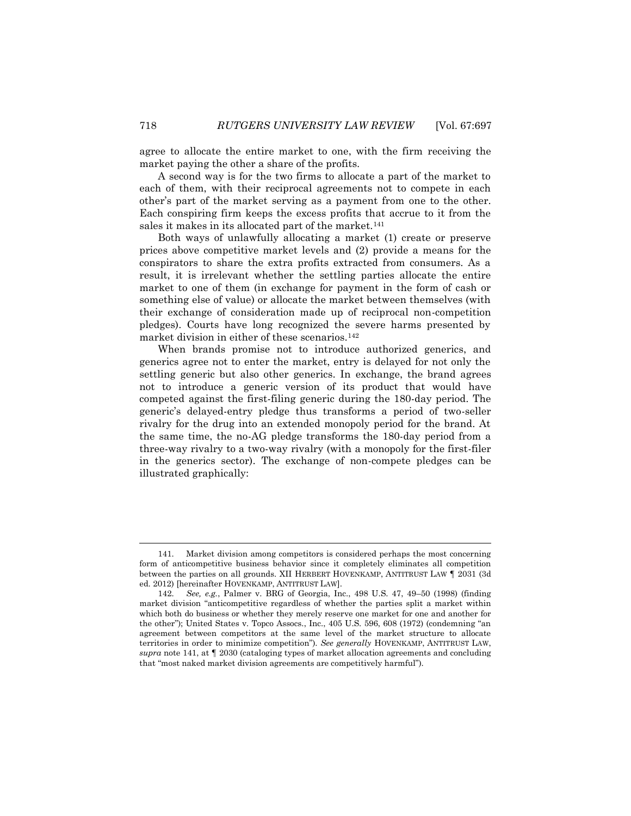agree to allocate the entire market to one, with the firm receiving the market paying the other a share of the profits.

A second way is for the two firms to allocate a part of the market to each of them, with their reciprocal agreements not to compete in each other's part of the market serving as a payment from one to the other. Each conspiring firm keeps the excess profits that accrue to it from the sales it makes in its allocated part of the market.<sup>141</sup>

Both ways of unlawfully allocating a market (1) create or preserve prices above competitive market levels and (2) provide a means for the conspirators to share the extra profits extracted from consumers. As a result, it is irrelevant whether the settling parties allocate the entire market to one of them (in exchange for payment in the form of cash or something else of value) or allocate the market between themselves (with their exchange of consideration made up of reciprocal non-competition pledges). Courts have long recognized the severe harms presented by market division in either of these scenarios.<sup>142</sup>

When brands promise not to introduce authorized generics, and generics agree not to enter the market, entry is delayed for not only the settling generic but also other generics. In exchange, the brand agrees not to introduce a generic version of its product that would have competed against the first-filing generic during the 180-day period. The generic's delayed-entry pledge thus transforms a period of two-seller rivalry for the drug into an extended monopoly period for the brand. At the same time, the no-AG pledge transforms the 180-day period from a three-way rivalry to a two-way rivalry (with a monopoly for the first-filer in the generics sector). The exchange of non-compete pledges can be illustrated graphically:

 $\overline{a}$ 

<sup>141.</sup> Market division among competitors is considered perhaps the most concerning form of anticompetitive business behavior since it completely eliminates all competition between the parties on all grounds. XII HERBERT HOVENKAMP, ANTITRUST LAW ¶ 2031 (3d ed. 2012) [hereinafter HOVENKAMP, ANTITRUST LAW].

<sup>142.</sup> *See, e.g.*, Palmer v. BRG of Georgia, Inc., 498 U.S. 47, 49–50 (1998) (finding market division "anticompetitive regardless of whether the parties split a market within which both do business or whether they merely reserve one market for one and another for the other"); United States v. Topco Assocs., Inc., 405 U.S. 596, 608 (1972) (condemning "an agreement between competitors at the same level of the market structure to allocate territories in order to minimize competition"). *See generally* HOVENKAMP, ANTITRUST LAW, *supra* note 141, at ¶ 2030 (cataloging types of market allocation agreements and concluding that "most naked market division agreements are competitively harmful").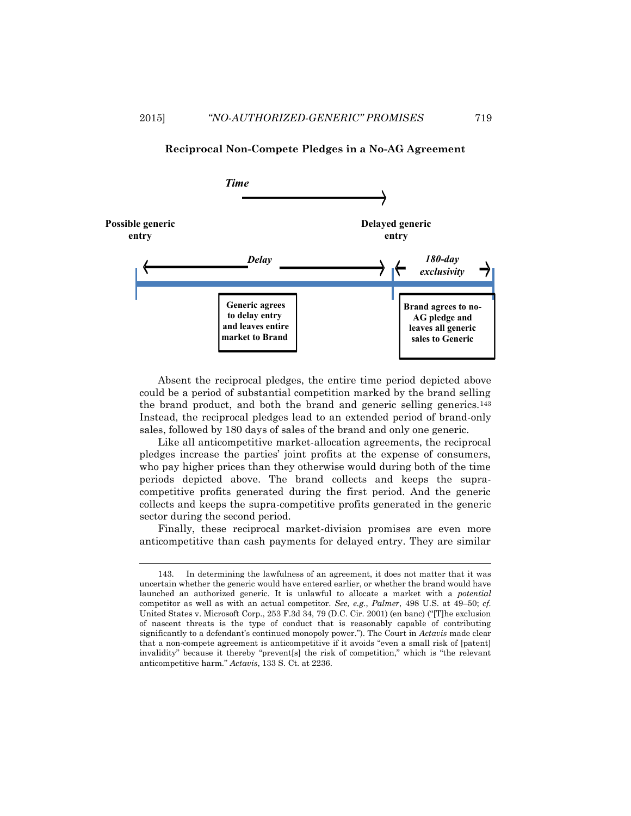

### **Reciprocal Non-Compete Pledges in a No-AG Agreement**

Absent the reciprocal pledges, the entire time period depicted above could be a period of substantial competition marked by the brand selling the brand product, and both the brand and generic selling generics.<sup>143</sup> Instead, the reciprocal pledges lead to an extended period of brand-only sales, followed by 180 days of sales of the brand and only one generic.

Like all anticompetitive market-allocation agreements, the reciprocal pledges increase the parties' joint profits at the expense of consumers, who pay higher prices than they otherwise would during both of the time periods depicted above. The brand collects and keeps the supracompetitive profits generated during the first period. And the generic collects and keeps the supra-competitive profits generated in the generic sector during the second period.

Finally, these reciprocal market-division promises are even more anticompetitive than cash payments for delayed entry. They are similar

<sup>143.</sup> In determining the lawfulness of an agreement, it does not matter that it was uncertain whether the generic would have entered earlier, or whether the brand would have launched an authorized generic. It is unlawful to allocate a market with a *potential* competitor as well as with an actual competitor. *See, e.g.*, *Palmer*, 498 U.S. at 49–50; *cf.* United States v. Microsoft Corp., 253 F.3d 34, 79 (D.C. Cir. 2001) (en banc) ("[T]he exclusion of nascent threats is the type of conduct that is reasonably capable of contributing significantly to a defendant's continued monopoly power."). The Court in *Actavis* made clear that a non-compete agreement is anticompetitive if it avoids "even a small risk of [patent] invalidity" because it thereby "prevent[s] the risk of competition," which is "the relevant anticompetitive harm." *Actavis*, 133 S. Ct. at 2236.